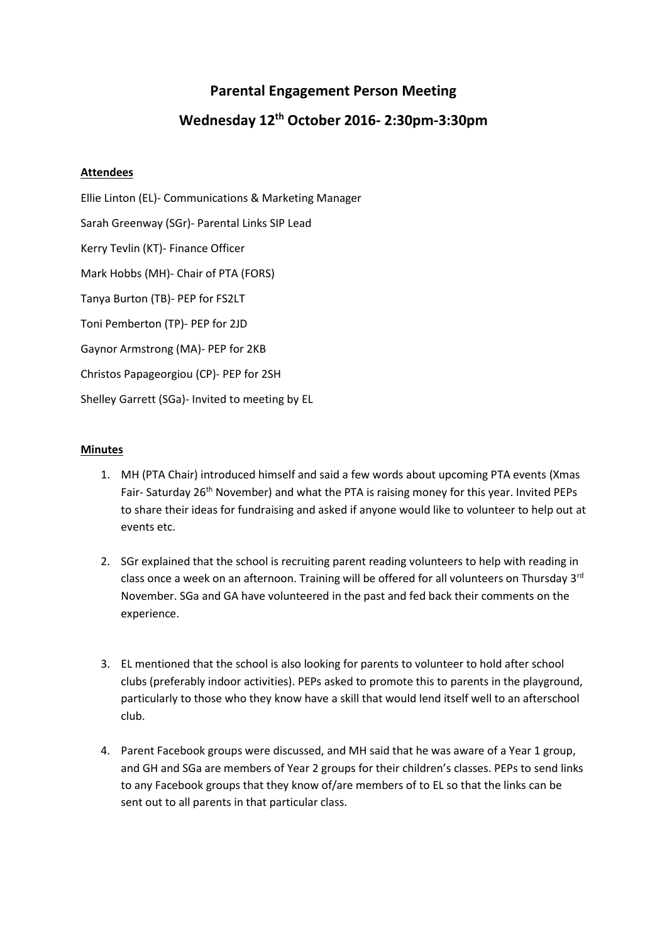## **Parental Engagement Person Meeting**

## **Wednesday 12th October 2016- 2:30pm-3:30pm**

## **Attendees**

Ellie Linton (EL)- Communications & Marketing Manager Sarah Greenway (SGr)- Parental Links SIP Lead Kerry Tevlin (KT)- Finance Officer Mark Hobbs (MH)- Chair of PTA (FORS) Tanya Burton (TB)- PEP for FS2LT Toni Pemberton (TP)- PEP for 2JD Gaynor Armstrong (MA)- PEP for 2KB Christos Papageorgiou (CP)- PEP for 2SH Shelley Garrett (SGa)- Invited to meeting by EL

## **Minutes**

- 1. MH (PTA Chair) introduced himself and said a few words about upcoming PTA events (Xmas Fair- Saturday 26<sup>th</sup> November) and what the PTA is raising money for this year. Invited PEPs to share their ideas for fundraising and asked if anyone would like to volunteer to help out at events etc.
- 2. SGr explained that the school is recruiting parent reading volunteers to help with reading in class once a week on an afternoon. Training will be offered for all volunteers on Thursday 3<sup>rd</sup> November. SGa and GA have volunteered in the past and fed back their comments on the experience.
- 3. EL mentioned that the school is also looking for parents to volunteer to hold after school clubs (preferably indoor activities). PEPs asked to promote this to parents in the playground, particularly to those who they know have a skill that would lend itself well to an afterschool club.
- 4. Parent Facebook groups were discussed, and MH said that he was aware of a Year 1 group, and GH and SGa are members of Year 2 groups for their children's classes. PEPs to send links to any Facebook groups that they know of/are members of to EL so that the links can be sent out to all parents in that particular class.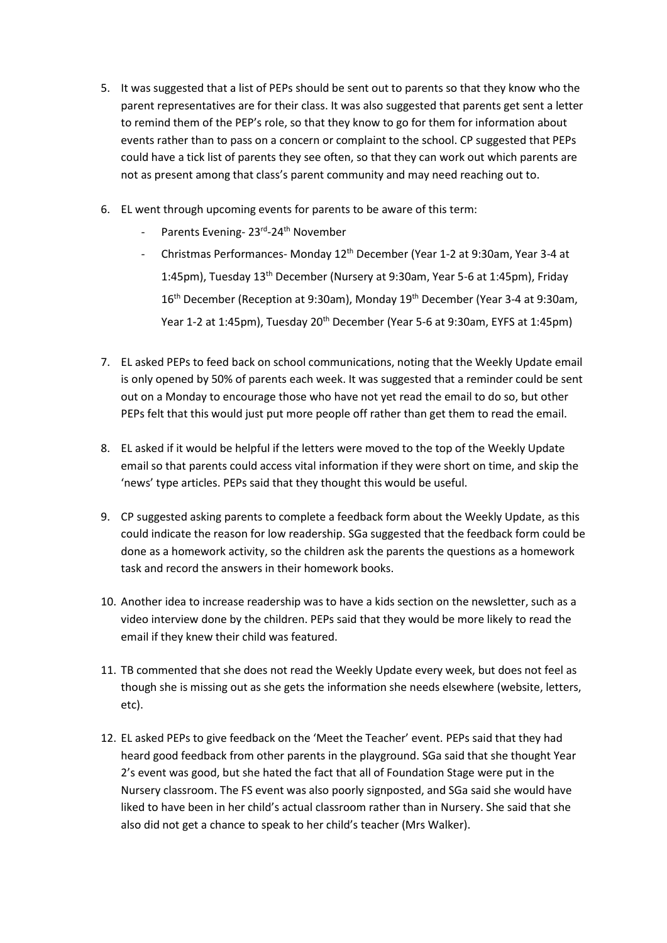- 5. It was suggested that a list of PEPs should be sent out to parents so that they know who the parent representatives are for their class. It was also suggested that parents get sent a letter to remind them of the PEP's role, so that they know to go for them for information about events rather than to pass on a concern or complaint to the school. CP suggested that PEPs could have a tick list of parents they see often, so that they can work out which parents are not as present among that class's parent community and may need reaching out to.
- 6. EL went through upcoming events for parents to be aware of this term:
	- Parents Evening- 23<sup>rd</sup>-24<sup>th</sup> November
	- Christmas Performances- Monday 12th December (Year 1-2 at 9:30am, Year 3-4 at 1:45pm), Tuesday 13th December (Nursery at 9:30am, Year 5-6 at 1:45pm), Friday 16<sup>th</sup> December (Reception at 9:30am), Monday 19<sup>th</sup> December (Year 3-4 at 9:30am, Year 1-2 at 1:45pm), Tuesday 20<sup>th</sup> December (Year 5-6 at 9:30am, EYFS at 1:45pm)
- 7. EL asked PEPs to feed back on school communications, noting that the Weekly Update email is only opened by 50% of parents each week. It was suggested that a reminder could be sent out on a Monday to encourage those who have not yet read the email to do so, but other PEPs felt that this would just put more people off rather than get them to read the email.
- 8. EL asked if it would be helpful if the letters were moved to the top of the Weekly Update email so that parents could access vital information if they were short on time, and skip the 'news' type articles. PEPs said that they thought this would be useful.
- 9. CP suggested asking parents to complete a feedback form about the Weekly Update, as this could indicate the reason for low readership. SGa suggested that the feedback form could be done as a homework activity, so the children ask the parents the questions as a homework task and record the answers in their homework books.
- 10. Another idea to increase readership was to have a kids section on the newsletter, such as a video interview done by the children. PEPs said that they would be more likely to read the email if they knew their child was featured.
- 11. TB commented that she does not read the Weekly Update every week, but does not feel as though she is missing out as she gets the information she needs elsewhere (website, letters, etc).
- 12. EL asked PEPs to give feedback on the 'Meet the Teacher' event. PEPs said that they had heard good feedback from other parents in the playground. SGa said that she thought Year 2's event was good, but she hated the fact that all of Foundation Stage were put in the Nursery classroom. The FS event was also poorly signposted, and SGa said she would have liked to have been in her child's actual classroom rather than in Nursery. She said that she also did not get a chance to speak to her child's teacher (Mrs Walker).